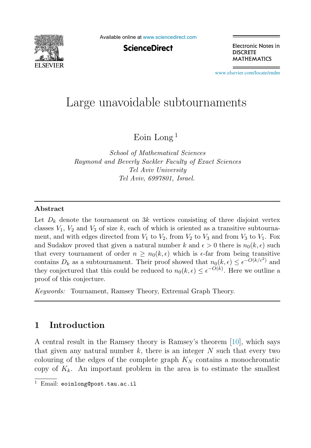

Available online at [www.sciencedirect.com](http://www.sciencedirect.com)

**ScienceDirect** 

Electronic Notes in **DISCRETE MATHEMATICS** 

[www.elsevier.com/locate/endm](http://www.elsevier.com/locate/endm)

# Large unavoidable subtournaments

Eoin Long <sup>1</sup>

*School of Mathematical Sciences Raymond and Beverly Sackler Faculty of Exact Sciences Tel Aviv University Tel Aviv, 6997801, Israel.*

#### Abstract

Let  $D_k$  denote the tournament on 3k vertices consisting of three disjoint vertex classes  $V_1$ ,  $V_2$  and  $V_3$  of size k, each of which is oriented as a transitive subtournament, and with edges directed from  $V_1$  to  $V_2$ , from  $V_2$  to  $V_3$  and from  $V_3$  to  $V_1$ . Fox and Sudakov proved that given a natural number k and  $\epsilon > 0$  there is  $n_0(k, \epsilon)$  such that every tournament of order  $n \geq n_0(k, \epsilon)$  which is  $\epsilon$ -far from being transitive contains  $D_k$  as a subtournament. Their proof showed that  $n_0(k, \epsilon) \leq \epsilon^{-O(k/\epsilon^2)}$  and they conjectured that this could be reduced to  $n_0(k, \epsilon) \leq \epsilon^{-O(k)}$ . Here we outline a proof of this conjecture.

*Keywords:* Tournament, Ramsey Theory, Extremal Graph Theory.

## 1 Introduction

A central result in the Ramsey theory is Ramsey's theorem [\[10\]](#page-5-0), which says that given any natural number  $k$ , there is an integer  $N$  such that every two colouring of the edges of the complete graph  $K_N$  contains a monochromatic copy of  $K_k$ . An important problem in the area is to estimate the smallest

Email: eoinlong@post.tau.ac.il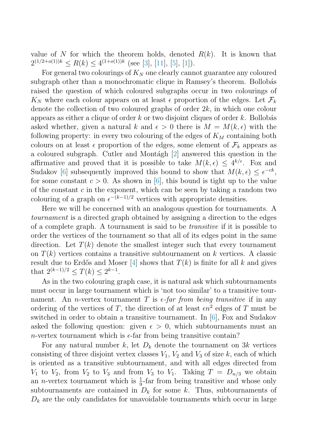value of N for which the theorem holds, denoted  $R(k)$ . It is known that  $2^{(1/2+o(1))k} < R(k) < 4^{(1+o(1))k}$  (see [\[3\]](#page-5-1), [\[11\]](#page-5-2), [\[5\]](#page-5-3), [\[1\]](#page-5-4)).

For general two colourings of  $K_N$  one clearly cannot guarantee any coloured subgraph other than a monochromatic clique in Ramsey's theorem. Bollobás raised the question of which coloured subgraphs occur in two colourings of  $K_N$  where each colour appears on at least  $\epsilon$  proportion of the edges. Let  $\mathcal{F}_k$ denote the collection of two coloured graphs of order  $2k$ , in which one colour appears as either a clique of order  $k$  or two disjoint cliques of order  $k$ . Bollobás asked whether, given a natural k and  $\epsilon > 0$  there is  $M = M(k, \epsilon)$  with the following property: in every two colouring of the edges of  $K_M$  containing both colours on at least  $\epsilon$  proportion of the edges, some element of  $\mathcal{F}_k$  appears as a coloured subgraph. Cutler and Montágh [\[2\]](#page-5-5) answered this question in the affirmative and proved that it is possible to take  $M(k, \epsilon) \leq 4^{k/\epsilon}$ . Fox and Sudakov [\[6\]](#page-5-6) subsequently improved this bound to show that  $M(k, \epsilon) \leq \epsilon^{-ck}$ , for some constant  $c > 0$ . As shown in [\[6\]](#page-5-6), this bound is tight up to the value of the constant  $c$  in the exponent, which can be seen by taking a random two colouring of a graph on  $\epsilon^{-(k-1)/2}$  vertices with appropriate densities.

Here we will be concerned with an analogous question for tournaments. A *tournament* is a directed graph obtained by assigning a direction to the edges of a complete graph. A tournament is said to be *transitive* if it is possible to order the vertices of the tournament so that all of its edges point in the same direction. Let  $T(k)$  denote the smallest integer such that every tournament on  $T(k)$  vertices contains a transitive subtournament on k vertices. A classic result due to Erdős and Moser [\[4\]](#page-5-7) shows that  $T(k)$  is finite for all k and gives that  $2^{(k-1)/2} < T(k) < 2^{k-1}$ .

As in the two colouring graph case, it is natural ask which subtournaments must occur in large tournament which is 'not too similar' to a transitive tournament. An *n*-vertex tournament T is  $\epsilon$ -far from being transitive if in any ordering of the vertices of T, the direction of at least  $\epsilon n^2$  edges of T must be switched in order to obtain a transitive tournament. In [\[6\]](#page-5-6), Fox and Sudakov asked the following question: given  $\epsilon > 0$ , which subtournaments must an n-vertex tournament which is  $\epsilon$ -far from being transitive contain?

For any natural number k, let  $D_k$  denote the tournament on 3k vertices consisting of three disjoint vertex classes  $V_1$ ,  $V_2$  and  $V_3$  of size k, each of which is oriented as a transitive subtournament, and with all edges directed from  $V_1$  to  $V_2$ , from  $V_2$  to  $V_3$  and from  $V_3$  to  $V_1$ . Taking  $T = D_{n/3}$  we obtain an *n*-vertex tournament which is  $\frac{1}{9}$ -far from being transitive and whose only subtournaments are contained in  $D_k$  for some k. Thus, subtournaments of  $D_k$  are the only candidates for unavoidable tournaments which occur in large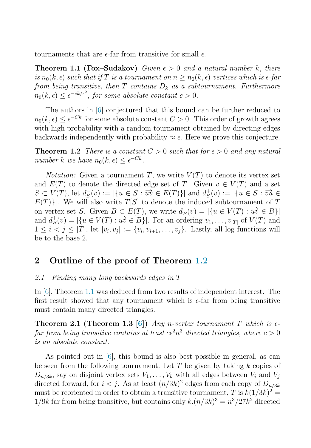<span id="page-2-1"></span>tournaments that are  $\epsilon$ -far from transitive for small  $\epsilon$ .

**Theorem 1.1 (Fox–Sudakov)** Given  $\epsilon > 0$  and a natural number k, there *is*  $n_0(k, \epsilon)$  *such that if* T *is a tournament on*  $n \geq n_0(k, \epsilon)$  *vertices which is*  $\epsilon$ -far *from being transitive, then*  $T$  *contains*  $D_k$  *as a subtournament. Furthermore*  $n_0(k,\epsilon) \leq \epsilon^{-ck/\epsilon^2}$ , for some absolute constant  $c > 0$ .

<span id="page-2-0"></span>The authors in [\[6\]](#page-5-6) conjectured that this bound can be further reduced to  $n_0(k, \epsilon) \leq \epsilon^{-Ck}$  for some absolute constant  $C > 0$ . This order of growth agrees with high probability with a random tournament obtained by directing edges backwards independently with probability  $\approx \epsilon$ . Here we prove this conjecture.

**Theorem 1.2** *There is a constant*  $C > 0$  *such that for*  $\epsilon > 0$  *and any natural number* k we have  $n_0(k, \epsilon) \leq \epsilon^{-Ck}$ .

*Notation:* Given a tournament T, we write  $V(T)$  to denote its vertex set and  $E(T)$  to denote the directed edge set of T. Given  $v \in V(T)$  and a set  $S \subset V(T)$ , let  $d^-_S(v) := |\{u \in S : \overrightarrow{uv} \in E(T)\}|$  and  $d^+_S(v) := |\{u \in S : \overrightarrow{vu} \in E(T)\}|$  $E(T)$ ]. We will also write  $T[S]$  to denote the induced subtournament of T on vertex set S. Given  $B \subset E(T)$ , we write  $d^-_B(v) = |\{u \in V(T) : \overrightarrow{uv} \in B\}|$ and  $d_B^+(v) = |\{u \in V(T) : \overrightarrow{uv} \in B\}|$ . For an ordering  $v_1, \ldots, v_{|T|}$  of  $V(T)$  and  $1 \leq i < j \leq |T|$ , let  $[v_i, v_j] := \{v_i, v_{i+1}, \ldots, v_j\}$ . Lastly, all log functions will be to the base 2.

## 2 Outline of the proof of Theorem [1.2](#page-2-0)

#### <span id="page-2-2"></span>*2.1 Finding many long backwards edges in* T

In [\[6\]](#page-5-6), Theorem [1.1](#page-2-1) was deduced from two results of independent interest. The first result showed that any tournament which is  $\epsilon$ -far from being transitive must contain many directed triangles.

**Theorem 2.1 (Theorem 1.3 [\[6\]](#page-5-6))** *Any n*-vertex tournament T which is  $\epsilon$ *far from being transitive contains at least*  $c\epsilon^2 n^3$  *directed triangles, where*  $c > 0$ *is an absolute constant.*

As pointed out in [\[6\]](#page-5-6), this bound is also best possible in general, as can be seen from the following tournament. Let T be given by taking  $k$  copies of  $D_{n/3k}$ , say on disjoint vertex sets  $V_1, \ldots, V_k$  with all edges between  $V_i$  and  $V_j$ directed forward, for  $i < j$ . As at least  $(n/3k)^2$  edges from each copy of  $D_{n/3k}$ must be reoriented in order to obtain a transitive tournament, T is  $k(1/3k)^2$  =  $1/9k$  far from being transitive, but contains only  $k.(n/3k)^3 = n^3/27k^2$  directed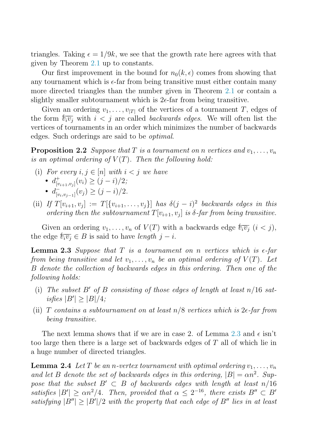triangles. Taking  $\epsilon = 1/9k$ , we see that the growth rate here agrees with that given by Theorem [2.1](#page-2-2) up to constants.

Our first improvement in the bound for  $n_0(k, \epsilon)$  comes from showing that any tournament which is  $\epsilon$ -far from being transitive must either contain many more directed triangles than the number given in Theorem [2.1](#page-2-2) or contain a slightly smaller subtournament which is  $2\epsilon$ -far from being transitive.

<span id="page-3-1"></span>Given an ordering  $v_1, \ldots, v_{|T|}$  of the vertices of a tournament T, edges of the form  $\overleftarrow{v_i v_j}$  with  $i < j$  are called *backwards edges*. We will often list the vertices of tournaments in an order which minimizes the number of backwards edges. Such orderings are said to be *optimal*.

**Proposition 2.2** *Suppose that*  $T$  *is a tournament on*  $n$  *vertices and*  $v_1, \ldots, v_n$ *is an optimal ordering of*  $V(T)$ *. Then the following hold:* 

- (i) For every  $i, j \in [n]$  with  $i < j$  we have
	- $d^+_{[v_{i+1},v_j]}(v_i) \geq (j-i)/2;$
	- $d^-_{[v_i, v_{j-1}]}(v_j) \ge (j-i)/2.$
- <span id="page-3-0"></span>(ii) *If*  $T[v_{i+1}, v_i] := T[\{v_{i+1}, \ldots, v_i\}]$  *has*  $\delta(j-i)^2$  *backwards edges in this ordering then the subtournament*  $T[v_{i+1}, v_i]$  *is*  $\delta$ -far from being transitive.

Given an ordering  $v_1, \ldots, v_n$  of  $V(T)$  with a backwards edge  $\overleftarrow{v_i v_j}$   $(i < j)$ , the edge  $\overline{v_i v_j} \in B$  is said to have *length*  $j - i$ .

**Lemma 2.3** Suppose that  $T$  is a tournament on  $n$  vertices which is  $\epsilon$ -far *from being transitive and let*  $v_1, \ldots, v_n$  *be an optimal ordering of*  $V(T)$ *. Let* B *denote the collection of backwards edges in this ordering. Then one of the following holds:*

- (i) *The subset* B′ *of* B *consisting of those edges of length at least* n/16 *sat* $isfies |B'| \geq |B|/4;$
- (ii) T *contains a subtournament on at least* n/8 *vertices which is* 2ǫ*-far from being transitive.*

<span id="page-3-2"></span>The next lemma shows that if we are in case 2. of Lemma [2.3](#page-3-0) and  $\epsilon$  isn't too large then there is a large set of backwards edges of T all of which lie in a huge number of directed triangles.

**Lemma 2.4** Let T be an n-vertex tournament with optimal ordering  $v_1, \ldots, v_n$ and let B denote the set of backwards edges in this ordering,  $|B| = \alpha n^2$ . Sup*pose that the subset*  $B' \subset B$  *of backwards edges with length at least*  $n/16$ *satisfies*  $|B'| \ge \alpha n^2/4$ . Then, provided that  $\alpha \le 2^{-16}$ , there exists  $B'' \subset B'$ *satisfying*  $|B''| \ge |B'|/2$  *with the property that each edge of*  $B''$  *lies in at least*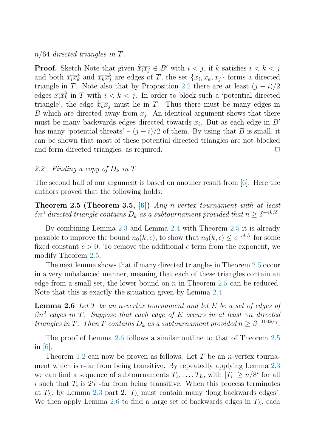#### n/64 *directed triangles in* T*.*

**Proof.** Sketch Note that given  $\overleftarrow{x_i x_j} \in B'$  with  $i < j$ , if k satisfies  $i < k < j$ and both  $\overrightarrow{x_ix_k}$  and  $\overrightarrow{x_kx_j}$  are edges of T, the set  $\{x_i, x_k, x_j\}$  forms a directed triangle in T. Note also that by Proposition [2.2](#page-3-1) there are at least  $(j - i)/2$ edges  $\overrightarrow{x_i x_k}$  in T with  $i < k < j$ . In order to block such a 'potential directed triangle', the edge  $\overleftarrow{x_kx_j}$  must lie in T. Thus there must be many edges in B which are directed away from  $x_i$ . An identical argument shows that there must be many backwards edges directed towards  $x_i$ . But as each edge in B' has many 'potential threats' –  $(j - i)/2$  of them. By using that B is small, it can be shown that most of these potential directed triangles are not blocked and form directed triangles, as required.  $\Box$ 

#### <span id="page-4-0"></span>2.2 Finding a copy of  $D_k$  in  $T$

The second half of our argument is based on another result from [\[6\]](#page-5-6). Here the authors proved that the following holds:

Theorem 2.5 (Theorem 3.5, [\[6\]](#page-5-6)) *Any* n*-vertex tournament with at least*  $\delta n^3$  directed triangle contains  $D_k$  as a subtournament provided that  $n \geq \delta^{-4k/\delta}$ .

By combining Lemma [2.3](#page-3-0) and Lemma [2.4](#page-3-2) with Theorem [2.5](#page-4-0) it is already possible to improve the bound  $n_0(k, \epsilon)$ , to show that  $n_0(k, \epsilon) \leq \epsilon^{-ck/\epsilon}$  for some fixed constant  $c > 0$ . To remove the additional  $\epsilon$  term from the exponent, we modify Theorem [2.5.](#page-4-0)

<span id="page-4-1"></span>The next lemma shows that if many directed triangles in Theorem [2.5](#page-4-0) occur in a very unbalanced manner, meaning that each of these triangles contain an edge from a small set, the lower bound on  $n$  in Theorem [2.5](#page-4-0) can be reduced. Note that this is exactly the situation given by Lemma [2.4.](#page-3-2)

Lemma 2.6 *Let* T *be an* n*-vertex tournament and let* E *be a set of edges of* βn<sup>2</sup> *edges in* T*. Suppose that each edge of* E *occurs in at least* γn *directed triangles in* T*.* Then T contains  $D_k$  as a subtournament provided  $n \geq \beta^{-100k/\gamma}$ .

The proof of Lemma [2.6](#page-4-1) follows a similar outline to that of Theorem [2.5](#page-4-0) in [\[6\]](#page-5-6).

Theorem [1.2](#page-2-0) can now be proven as follows. Let T be an *n*-vertex tournament which is  $\epsilon$ -far from being transitive. By repeatedly applying Lemma [2.3](#page-3-0) we can find a sequence of subtournaments  $T_1, \ldots, T_L$ , with  $|T_i| \geq n/8^i$  for all i such that  $T_i$  is  $2^i \epsilon$  -far from being transitive. When this process terminates at  $T_L$ , by Lemma [2.3](#page-3-0) part 2.  $T_L$  must contain many 'long backwards edges'. We then apply Lemma [2.6](#page-4-1) to find a large set of backwards edges in  $T_L$ , each